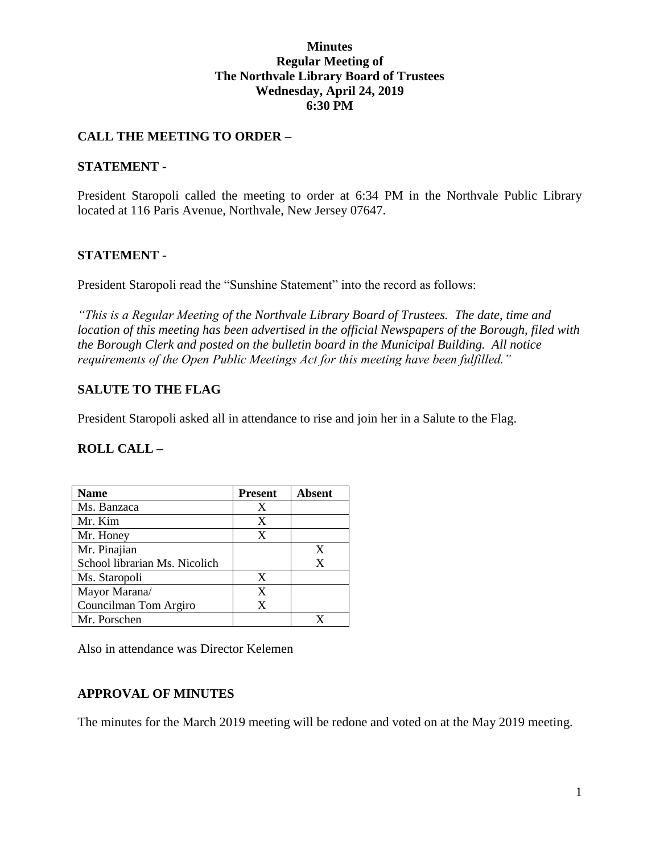## **Minutes Regular Meeting of The Northvale Library Board of Trustees Wednesday, April 24, 2019 6:30 PM**

## **CALL THE MEETING TO ORDER –**

### **STATEMENT -**

President Staropoli called the meeting to order at 6:34 PM in the Northvale Public Library located at 116 Paris Avenue, Northvale, New Jersey 07647.

### **STATEMENT -**

President Staropoli read the "Sunshine Statement" into the record as follows:

*"This is a Regular Meeting of the Northvale Library Board of Trustees. The date, time and location of this meeting has been advertised in the official Newspapers of the Borough, filed with the Borough Clerk and posted on the bulletin board in the Municipal Building. All notice requirements of the Open Public Meetings Act for this meeting have been fulfilled."* 

### **SALUTE TO THE FLAG**

President Staropoli asked all in attendance to rise and join her in a Salute to the Flag.

### **ROLL CALL –**

| <b>Name</b>                   | <b>Present</b> | <b>Absent</b> |
|-------------------------------|----------------|---------------|
| Ms. Banzaca                   | X              |               |
| Mr. Kim                       | X              |               |
| Mr. Honey                     | X              |               |
| Mr. Pinajian                  |                | X             |
| School librarian Ms. Nicolich |                | X             |
| Ms. Staropoli                 | X              |               |
| Mayor Marana/                 | X              |               |
| Councilman Tom Argiro         | X              |               |
| Mr. Porschen                  |                |               |

Also in attendance was Director Kelemen

## **APPROVAL OF MINUTES**

The minutes for the March 2019 meeting will be redone and voted on at the May 2019 meeting.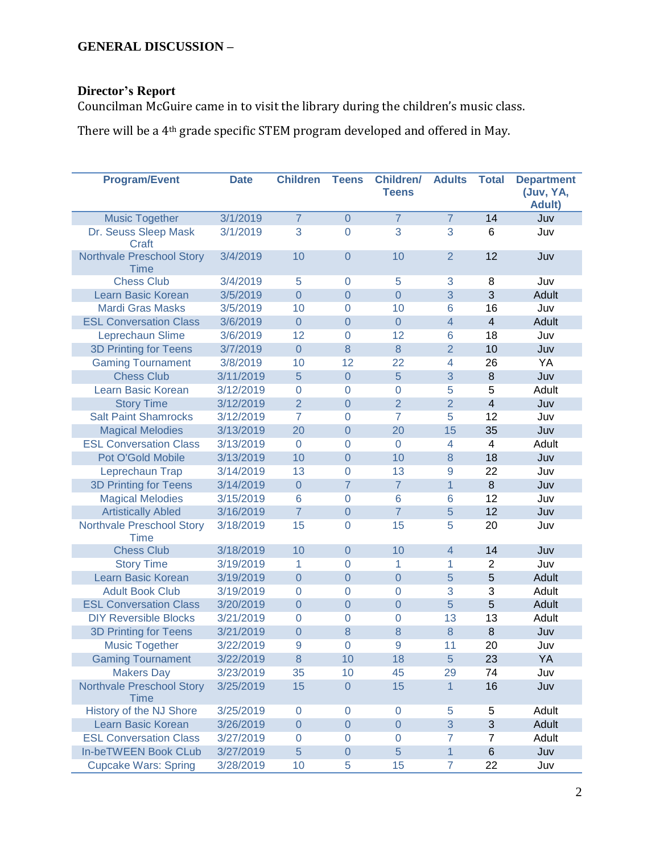# **Director's Report**

Councilman McGuire came in to visit the library during the children's music class.

There will be a 4th grade specific STEM program developed and offered in May.

| <b>Program/Event</b>                            | <b>Date</b> | <b>Children</b>     | <b>Teens</b>   | <b>Children/</b><br><b>Teens</b> | <b>Adults</b>  | <b>Total</b>              | <b>Department</b><br>(Juv, YA,<br><b>Adult)</b> |
|-------------------------------------------------|-------------|---------------------|----------------|----------------------------------|----------------|---------------------------|-------------------------------------------------|
| <b>Music Together</b>                           | 3/1/2019    | $\overline{7}$      | $\Omega$       | $\overline{7}$                   | $\overline{7}$ | 14                        | Juv                                             |
| Dr. Seuss Sleep Mask<br>Craft                   | 3/1/2019    | 3                   | $\overline{0}$ | 3                                | 3              | 6                         | Juv                                             |
| <b>Northvale Preschool Story</b><br><b>Time</b> | 3/4/2019    | 10                  | $\overline{0}$ | 10                               | $\overline{2}$ | 12                        | Juv                                             |
| <b>Chess Club</b>                               | 3/4/2019    | 5                   | 0              | 5                                | 3              | 8                         | Juv                                             |
| <b>Learn Basic Korean</b>                       | 3/5/2019    | $\overline{0}$      | $\overline{0}$ | $\overline{0}$                   | 3              | 3                         | Adult                                           |
| <b>Mardi Gras Masks</b>                         | 3/5/2019    | 10                  | $\overline{0}$ | 10                               | 6              | 16                        | Juv                                             |
| <b>ESL Conversation Class</b>                   | 3/6/2019    | $\overline{0}$      | $\overline{0}$ | $\overline{0}$                   | $\overline{4}$ | $\overline{4}$            | Adult                                           |
| Leprechaun Slime                                | 3/6/2019    | 12                  | $\overline{0}$ | 12                               | 6              | 18                        | Juv                                             |
| <b>3D Printing for Teens</b>                    | 3/7/2019    | $\overline{0}$      | 8              | 8                                | $\overline{2}$ | 10                        | Juv                                             |
| <b>Gaming Tournament</b>                        | 3/8/2019    | 10                  | 12             | 22                               | $\overline{4}$ | 26                        | YA                                              |
| <b>Chess Club</b>                               | 3/11/2019   | 5                   | $\overline{0}$ | 5                                | 3              | 8                         | Juv                                             |
| Learn Basic Korean                              | 3/12/2019   | $\overline{0}$      | $\overline{0}$ | $\overline{0}$                   | 5              | 5                         | Adult                                           |
| <b>Story Time</b>                               | 3/12/2019   | $\overline{2}$      | $\overline{0}$ | $\overline{2}$                   | $\overline{2}$ | $\overline{4}$            | Juv                                             |
| <b>Salt Paint Shamrocks</b>                     | 3/12/2019   | $\overline{7}$      | $\overline{0}$ | $\overline{7}$                   | 5              | 12                        | Juv                                             |
| <b>Magical Melodies</b>                         | 3/13/2019   | 20                  | $\overline{0}$ | 20                               | 15             | 35                        | Juv                                             |
| <b>ESL Conversation Class</b>                   | 3/13/2019   | $\overline{0}$      | $\overline{0}$ | $\overline{0}$                   | $\overline{4}$ | $\overline{\mathbf{4}}$   | Adult                                           |
| Pot O'Gold Mobile                               | 3/13/2019   | 10                  | $\overline{0}$ | 10                               | 8              | 18                        | Juv                                             |
| Leprechaun Trap                                 | 3/14/2019   | 13                  | 0              | 13                               | 9              | 22                        | Juv                                             |
| <b>3D Printing for Teens</b>                    | 3/14/2019   | $\overline{0}$      | 7              | $\overline{7}$                   | $\mathbf{1}$   | 8                         | Juv                                             |
| <b>Magical Melodies</b>                         | 3/15/2019   | 6                   | $\overline{0}$ | 6                                | 6              | 12                        | Juv                                             |
| <b>Artistically Abled</b>                       | 3/16/2019   | $\overline{7}$      | $\overline{0}$ | $\overline{7}$                   | 5              | 12                        | Juv                                             |
| Northvale Preschool Story<br>Time               | 3/18/2019   | 15                  | $\overline{0}$ | 15                               | 5              | 20                        | Juv                                             |
| <b>Chess Club</b>                               | 3/18/2019   | 10                  | $\overline{0}$ | 10                               | $\overline{4}$ | 14                        | Juv                                             |
| <b>Story Time</b>                               | 3/19/2019   | 1                   | $\overline{0}$ | 1                                | 1              | $\overline{2}$            | Juv                                             |
| Learn Basic Korean                              | 3/19/2019   | $\overline{0}$      | $\overline{0}$ | $\overline{0}$                   | 5              | 5                         | Adult                                           |
| <b>Adult Book Club</b>                          | 3/19/2019   | $\Omega$            | $\overline{0}$ | $\Omega$                         | 3              | 3                         | Adult                                           |
| <b>ESL Conversation Class</b>                   | 3/20/2019   | $\overline{0}$      | $\overline{0}$ | $\overline{0}$                   | 5              | 5                         | Adult                                           |
| <b>DIY Reversible Blocks</b>                    | 3/21/2019   | 0                   | $\overline{0}$ | $\overline{0}$                   | 13             | 13                        | Adult                                           |
| <b>3D Printing for Teens</b>                    | 3/21/2019   | $\overline{0}$      | 8              | 8                                | 8              | 8                         | Juv                                             |
| <b>Music Together</b>                           | 3/22/2019   | 9                   | 0              | 9                                | 11             | 20                        | Juv                                             |
| <b>Gaming Tournament</b>                        | 3/22/2019   | $\bf 8$             | 10             | 18                               | $\sqrt{5}$     | 23                        | YA                                              |
| <b>Makers Day</b>                               | 3/23/2019   | 35                  | 10             | 45                               | 29             | 74                        | Juv                                             |
| <b>Northvale Preschool Story</b><br><b>Time</b> | 3/25/2019   | 15                  | $\theta$       | 15                               | $\mathbf{1}$   | 16                        | Juv                                             |
| History of the NJ Shore                         | 3/25/2019   | $\mathbf 0$         | $\mathbf 0$    | $\pmb{0}$                        | 5              | 5                         | Adult                                           |
| Learn Basic Korean                              | 3/26/2019   | $\overline{0}$      | $\theta$       | $\boldsymbol{0}$                 | 3              | $\ensuremath{\mathsf{3}}$ | Adult                                           |
| <b>ESL Conversation Class</b>                   | 3/27/2019   | $\mathsf{O}\xspace$ | $\mathbf 0$    | $\boldsymbol{0}$                 | 7              | 7                         | Adult                                           |
| <b>In-beTWEEN Book CLub</b>                     | 3/27/2019   | 5                   | $\theta$       | 5                                | $\mathbf{1}$   | $\,$ 6                    | Juv                                             |
| <b>Cupcake Wars: Spring</b>                     | 3/28/2019   | 10                  | 5              | 15                               | $\overline{7}$ | 22                        | Juv                                             |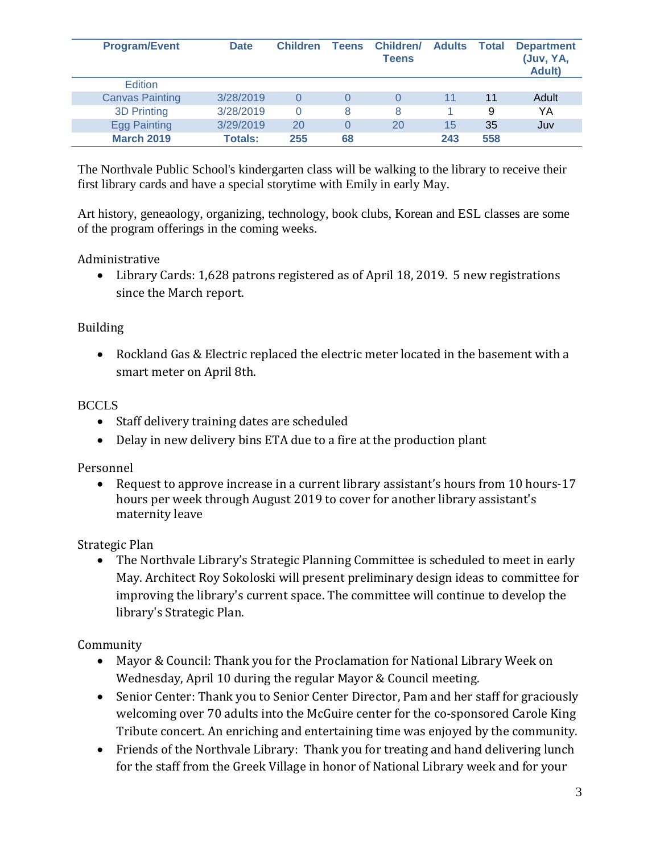| <b>Program/Event</b>   | <b>Date</b>    | <b>Children</b> | <b>Teens</b> | <b>Children/</b><br><b>Teens</b> | <b>Adults</b> | <b>Total</b> | <b>Department</b><br>(Juv, YA,<br><b>Adult</b> ) |
|------------------------|----------------|-----------------|--------------|----------------------------------|---------------|--------------|--------------------------------------------------|
| <b>Edition</b>         |                |                 |              |                                  |               |              |                                                  |
| <b>Canvas Painting</b> | 3/28/2019      |                 | O            |                                  | 11            | 11           | Adult                                            |
| <b>3D Printing</b>     | 3/28/2019      | $\Omega$        | 8            | 8                                |               | 9            | YΑ                                               |
| <b>Egg Painting</b>    | 3/29/2019      | 20              | 0            | 20                               | 15            | 35           | Juv                                              |
| <b>March 2019</b>      | <b>Totals:</b> | 255             | 68           |                                  | 243           | 558          |                                                  |

The Northvale Public School's kindergarten class will be walking to the library to receive their first library cards and have a special storytime with Emily in early May.

Art history, geneaology, organizing, technology, book clubs, Korean and ESL classes are some of the program offerings in the coming weeks.

Administrative

 Library Cards: 1,628 patrons registered as of April 18, 2019. 5 new registrations since the March report.

## Building

 Rockland Gas & Electric replaced the electric meter located in the basement with a smart meter on April 8th.

## BCCLS

- Staff delivery training dates are scheduled
- Delay in new delivery bins ETA due to a fire at the production plant

Personnel

 Request to approve increase in a current library assistant's hours from 10 hours-17 hours per week through August 2019 to cover for another library assistant's maternity leave

Strategic Plan

 The Northvale Library's Strategic Planning Committee is scheduled to meet in early May. Architect Roy Sokoloski will present preliminary design ideas to committee for improving the library's current space. The committee will continue to develop the library's Strategic Plan.

Community

- Mayor & Council: Thank you for the Proclamation for National Library Week on Wednesday, April 10 during the regular Mayor & Council meeting.
- Senior Center: Thank you to Senior Center Director, Pam and her staff for graciously welcoming over 70 adults into the McGuire center for the co-sponsored Carole King Tribute concert. An enriching and entertaining time was enjoyed by the community.
- Friends of the Northvale Library: Thank you for treating and hand delivering lunch for the staff from the Greek Village in honor of National Library week and for your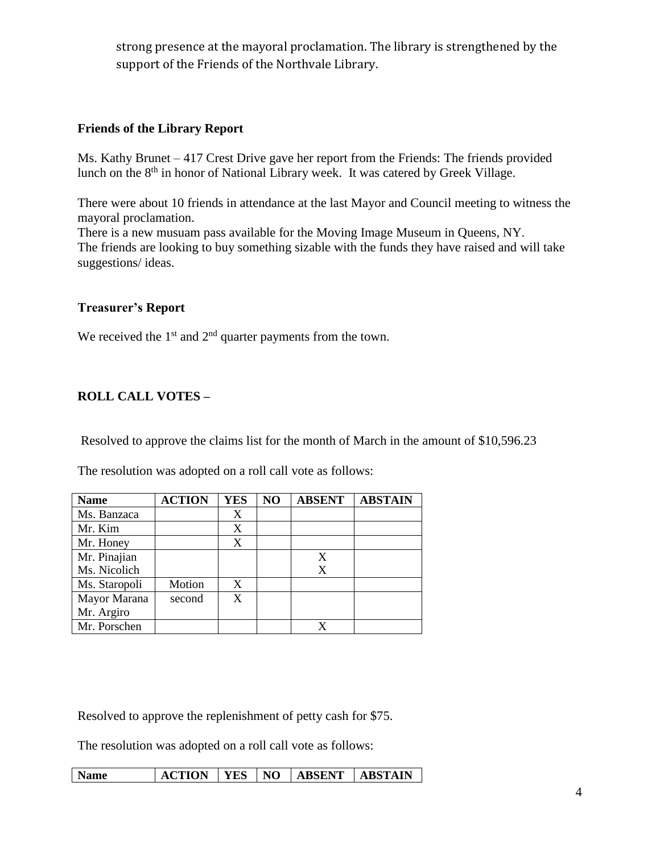strong presence at the mayoral proclamation. The library is strengthened by the support of the Friends of the Northvale Library.

## **Friends of the Library Report**

Ms. Kathy Brunet – 417 Crest Drive gave her report from the Friends: The friends provided lunch on the 8<sup>th</sup> in honor of National Library week. It was catered by Greek Village.

There were about 10 friends in attendance at the last Mayor and Council meeting to witness the mayoral proclamation.

There is a new musuam pass available for the Moving Image Museum in Queens, NY. The friends are looking to buy something sizable with the funds they have raised and will take suggestions/ ideas.

### **Treasurer's Report**

We received the  $1<sup>st</sup>$  and  $2<sup>nd</sup>$  quarter payments from the town.

## **ROLL CALL VOTES –**

Resolved to approve the claims list for the month of March in the amount of \$10,596.23

The resolution was adopted on a roll call vote as follows:

| <b>Name</b>   | <b>ACTION</b> | <b>YES</b> | NO | <b>ABSENT</b> | <b>ABSTAIN</b> |
|---------------|---------------|------------|----|---------------|----------------|
| Ms. Banzaca   |               | X          |    |               |                |
| Mr. Kim       |               | X          |    |               |                |
| Mr. Honey     |               | X          |    |               |                |
| Mr. Pinajian  |               |            |    |               |                |
| Ms. Nicolich  |               |            |    | X             |                |
| Ms. Staropoli | Motion        | X          |    |               |                |
| Mayor Marana  | second        | X          |    |               |                |
| Mr. Argiro    |               |            |    |               |                |
| Mr. Porschen  |               |            |    |               |                |

Resolved to approve the replenishment of petty cash for \$75.

The resolution was adopted on a roll call vote as follows:

| <b>Name</b> | ACTION   YES   NO   ABSENT   ABSTAIN |  |  |  |  |
|-------------|--------------------------------------|--|--|--|--|
|-------------|--------------------------------------|--|--|--|--|